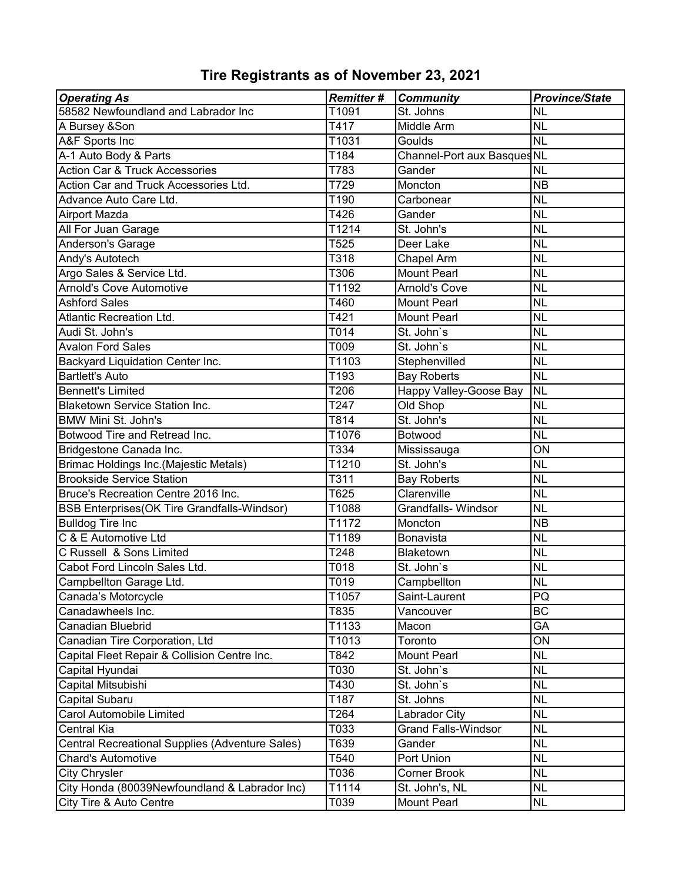| <b>Operating As</b>                                    | <b>Remitter#</b>  | <b>Community</b>           | <b>Province/State</b>    |
|--------------------------------------------------------|-------------------|----------------------------|--------------------------|
| 58582 Newfoundland and Labrador Inc                    | T1091             | St. Johns                  | <b>NL</b>                |
| A Bursey &Son                                          | T417              | Middle Arm                 | <b>NL</b>                |
| A&F Sports Inc                                         | T1031             | Goulds                     | <b>NL</b>                |
| A-1 Auto Body & Parts                                  | T184              | Channel-Port aux BasquesNL |                          |
| <b>Action Car &amp; Truck Accessories</b>              | T783              | Gander                     | <b>NL</b>                |
| Action Car and Truck Accessories Ltd.                  | T729              | Moncton                    | <b>NB</b>                |
| Advance Auto Care Ltd.                                 | T190              | Carbonear                  | <b>NL</b>                |
| <b>Airport Mazda</b>                                   | T426              | Gander                     | <b>NL</b>                |
| All For Juan Garage                                    | T1214             | St. John's                 | <b>NL</b>                |
| Anderson's Garage                                      | T525              | Deer Lake                  | <b>NL</b>                |
| Andy's Autotech                                        | T318              | Chapel Arm                 | <b>NL</b>                |
| Argo Sales & Service Ltd.                              | T306              | <b>Mount Pearl</b>         | <b>NL</b>                |
| <b>Arnold's Cove Automotive</b>                        | T1192             | <b>Arnold's Cove</b>       | <b>NL</b>                |
| <b>Ashford Sales</b>                                   | T460              | <b>Mount Pearl</b>         | <b>NL</b>                |
| <b>Atlantic Recreation Ltd.</b>                        | T421              | <b>Mount Pearl</b>         | <b>NL</b>                |
| Audi St. John's                                        | $\overline{10}14$ | St. John's                 | <b>NL</b>                |
| <b>Avalon Ford Sales</b>                               | T009              | St. John's                 | <b>NL</b>                |
| Backyard Liquidation Center Inc.                       | T1103             | Stephenvilled              | <b>NL</b>                |
| <b>Bartlett's Auto</b>                                 | T193              | <b>Bay Roberts</b>         | <b>NL</b>                |
| <b>Bennett's Limited</b>                               | T206              | Happy Valley-Goose Bay     | <b>NL</b>                |
| <b>Blaketown Service Station Inc.</b>                  | T247              | Old Shop                   | <b>NL</b>                |
| <b>BMW Mini St. John's</b>                             | T814              | St. John's                 | $\overline{\sf NL}$      |
| Botwood Tire and Retread Inc.                          | T1076             | Botwood                    | <b>NL</b>                |
| Bridgestone Canada Inc.                                | T334              | Mississauga                | ON                       |
| Brimac Holdings Inc.(Majestic Metals)                  | T1210             | St. John's                 | <b>NL</b>                |
| <b>Brookside Service Station</b>                       | T311              | <b>Bay Roberts</b>         | <b>NL</b>                |
| Bruce's Recreation Centre 2016 Inc.                    | T625              | Clarenville                | <b>NL</b>                |
| <b>BSB Enterprises(OK Tire Grandfalls-Windsor)</b>     | T1088             | <b>Grandfalls- Windsor</b> | <b>NL</b>                |
| <b>Bulldog Tire Inc</b>                                | T1172             | Moncton                    | <b>NB</b>                |
| C & E Automotive Ltd                                   | T1189             | <b>Bonavista</b>           | <b>NL</b>                |
| C Russell & Sons Limited                               | T248              | Blaketown                  | <b>NL</b>                |
| Cabot Ford Lincoln Sales Ltd.                          | T018              | St. John's                 | $\overline{\mathsf{NL}}$ |
| Campbellton Garage Ltd.                                | T019              | Campbellton                | <b>NL</b>                |
| Canada's Motorcycle                                    | T1057             | Saint-Laurent              | PQ                       |
| Canadawheels Inc.                                      | T835              | Vancouver                  | <b>BC</b>                |
| <b>Canadian Bluebrid</b>                               | T1133             | Macon                      | GA                       |
| Canadian Tire Corporation, Ltd                         | T1013             | Toronto                    | ON                       |
| Capital Fleet Repair & Collision Centre Inc.           | T842              | <b>Mount Pearl</b>         | <b>NL</b>                |
| Capital Hyundai                                        | T030              | St. John's                 | <b>NL</b>                |
| Capital Mitsubishi                                     | T430              | St. John's                 | $\overline{\text{NL}}$   |
| Capital Subaru                                         | T187              | St. Johns                  | <b>NL</b>                |
| Carol Automobile Limited                               | T264              | Labrador City              | <b>NL</b>                |
| <b>Central Kia</b>                                     | T033              | <b>Grand Falls-Windsor</b> | <b>NL</b>                |
| <b>Central Recreational Supplies (Adventure Sales)</b> | T639              | Gander                     | <b>NL</b>                |
| <b>Chard's Automotive</b>                              | T540              | Port Union                 | $\overline{\text{NL}}$   |
| <b>City Chrysler</b>                                   | T036              | <b>Corner Brook</b>        | <b>NL</b>                |
| City Honda (80039Newfoundland & Labrador Inc)          | T1114             | St. John's, NL             | <b>NL</b>                |
| City Tire & Auto Centre                                | T039              | <b>Mount Pearl</b>         | <b>NL</b>                |

## **Tire Registrants as of November 23, 2021**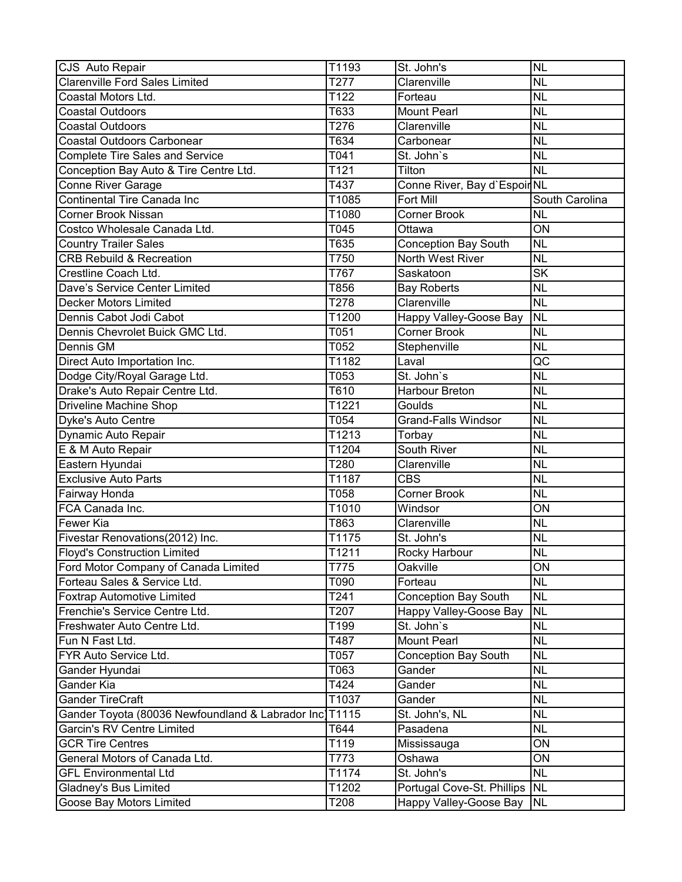| CJS Auto Repair                                         | T1193 | St. John's                   | <b>NL</b>                |
|---------------------------------------------------------|-------|------------------------------|--------------------------|
| <b>Clarenville Ford Sales Limited</b>                   | T277  | Clarenville                  | <b>NL</b>                |
| Coastal Motors Ltd.                                     | T122  | Forteau                      | <b>NL</b>                |
| <b>Coastal Outdoors</b>                                 | T633  | <b>Mount Pearl</b>           | <b>NL</b>                |
| <b>Coastal Outdoors</b>                                 | T276  | Clarenville                  | <b>NL</b>                |
| <b>Coastal Outdoors Carbonear</b>                       | T634  | Carbonear                    | <b>NL</b>                |
| <b>Complete Tire Sales and Service</b>                  | T041  | St. John's                   | <b>NL</b>                |
| Conception Bay Auto & Tire Centre Ltd.                  | T121  | Tilton                       | <b>NL</b>                |
| <b>Conne River Garage</b>                               | T437  | Conne River, Bay d'Espoir NL |                          |
| <b>Continental Tire Canada Inc</b>                      | T1085 | <b>Fort Mill</b>             | South Carolina           |
| <b>Corner Brook Nissan</b>                              | T1080 | <b>Corner Brook</b>          | <b>NL</b>                |
| Costco Wholesale Canada Ltd.                            | T045  | Ottawa                       | $\overline{ON}$          |
| <b>Country Trailer Sales</b>                            | T635  | <b>Conception Bay South</b>  | <b>NL</b>                |
| <b>CRB Rebuild &amp; Recreation</b>                     | T750  | North West River             | <b>NL</b>                |
| Crestline Coach Ltd.                                    | T767  | Saskatoon                    | <b>SK</b>                |
| Dave's Service Center Limited                           | T856  | <b>Bay Roberts</b>           | <b>NL</b>                |
| <b>Decker Motors Limited</b>                            | T278  | Clarenville                  | <b>NL</b>                |
| Dennis Cabot Jodi Cabot                                 | T1200 | Happy Valley-Goose Bay       | <b>NL</b>                |
| Dennis Chevrolet Buick GMC Ltd.                         | T051  | <b>Corner Brook</b>          | <b>NL</b>                |
| Dennis GM                                               | T052  | Stephenville                 | <b>NL</b>                |
| Direct Auto Importation Inc.                            | T1182 | Laval                        | $\overline{\mathsf{QC}}$ |
| Dodge City/Royal Garage Ltd.                            | T053  | St. John's                   | <b>NL</b>                |
| Drake's Auto Repair Centre Ltd.                         | T610  | Harbour Breton               | <b>NL</b>                |
| Driveline Machine Shop                                  | T1221 | Goulds                       | <b>NL</b>                |
| Dyke's Auto Centre                                      | T054  | <b>Grand-Falls Windsor</b>   | <b>NL</b>                |
| Dynamic Auto Repair                                     | T1213 | Torbay                       | <b>NL</b>                |
| E & M Auto Repair                                       | T1204 | South River                  | <b>NL</b>                |
| Eastern Hyundai                                         | T280  | Clarenville                  | <b>NL</b>                |
| <b>Exclusive Auto Parts</b>                             | T1187 | <b>CBS</b>                   | <b>NL</b>                |
| Fairway Honda                                           | T058  | <b>Corner Brook</b>          | <b>NL</b>                |
| FCA Canada Inc.                                         | T1010 | Windsor                      | ON                       |
| Fewer Kia                                               | T863  | Clarenville                  | <b>NL</b>                |
| Fivestar Renovations(2012) Inc.                         | T1175 | St. John's                   | <b>NL</b>                |
| <b>Floyd's Construction Limited</b>                     | T1211 | Rocky Harbour                | <b>NL</b>                |
| Ford Motor Company of Canada Limited                    | T775  | Oakville                     | ON                       |
| Forteau Sales & Service Ltd.                            | T090  | Forteau                      | <b>NL</b>                |
| <b>Foxtrap Automotive Limited</b>                       | T241  | <b>Conception Bay South</b>  | <b>NL</b>                |
| Frenchie's Service Centre Ltd.                          | T207  | Happy Valley-Goose Bay       | <b>NL</b>                |
| Freshwater Auto Centre Ltd.                             | T199  | St. John's                   | <b>NL</b>                |
| Fun N Fast Ltd.                                         | T487  | <b>Mount Pearl</b>           | <b>NL</b>                |
| FYR Auto Service Ltd.                                   | T057  | <b>Conception Bay South</b>  | <b>NL</b>                |
| Gander Hyundai                                          | T063  | Gander                       | <b>NL</b>                |
| Gander Kia                                              | T424  | Gander                       | <b>NL</b>                |
| Gander TireCraft                                        | T1037 | Gander                       | <b>NL</b>                |
| Gander Toyota (80036 Newfoundland & Labrador Inc) T1115 |       | St. John's, NL               | <b>NL</b>                |
| <b>Garcin's RV Centre Limited</b>                       | T644  | Pasadena                     | <b>NL</b>                |
| <b>GCR Tire Centres</b>                                 | T119  | Mississauga                  | ON                       |
| General Motors of Canada Ltd.                           | T773  | Oshawa                       | ON                       |
| <b>GFL Environmental Ltd</b>                            | T1174 | St. John's                   | <b>NL</b>                |
| <b>Gladney's Bus Limited</b>                            | T1202 | Portugal Cove-St. Phillips   | <b>NL</b>                |
| Goose Bay Motors Limited                                | T208  | Happy Valley-Goose Bay       | <b>NL</b>                |
|                                                         |       |                              |                          |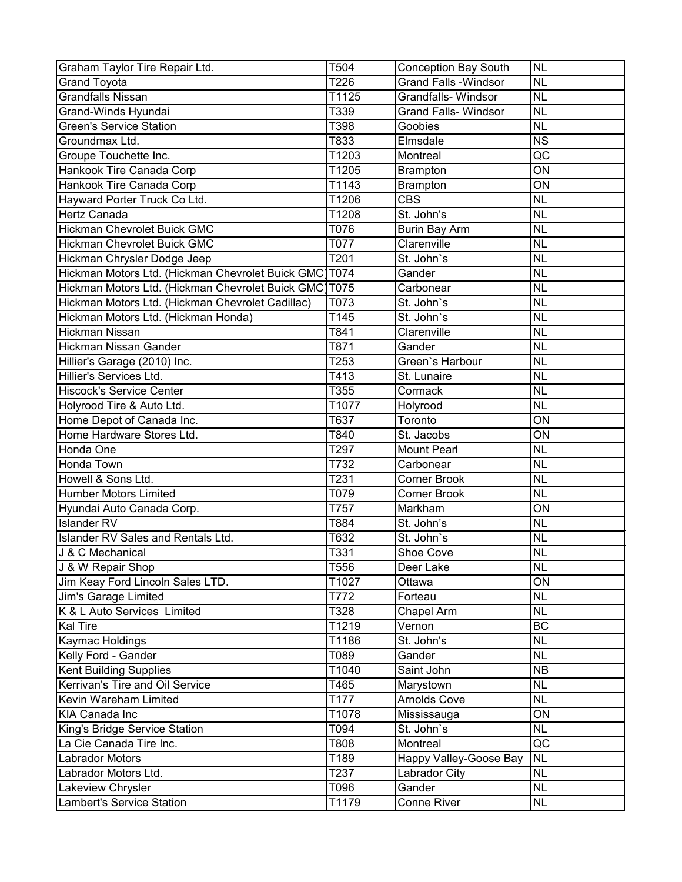| Graham Taylor Tire Repair Ltd.                           | T504  | Conception Bay South             | <b>NL</b>       |
|----------------------------------------------------------|-------|----------------------------------|-----------------|
| <b>Grand Toyota</b>                                      | T226  | <b>Grand Falls - Windsor</b>     | <b>NL</b>       |
| <b>Grandfalls Nissan</b>                                 | T1125 | <b>Grandfalls- Windsor</b>       | <b>NL</b>       |
| Grand-Winds Hyundai                                      | T339  | <b>Grand Falls- Windsor</b>      | <b>NL</b>       |
| <b>Green's Service Station</b>                           | T398  | Goobies                          | <b>NL</b>       |
| Groundmax Ltd.                                           | T833  | Elmsdale                         | <b>NS</b>       |
| Groupe Touchette Inc.                                    | T1203 | Montreal                         | QC              |
| Hankook Tire Canada Corp                                 | T1205 | <b>Brampton</b>                  | ON              |
| Hankook Tire Canada Corp                                 | T1143 | <b>Brampton</b>                  | ON              |
| Hayward Porter Truck Co Ltd.                             | T1206 | <b>CBS</b>                       | <b>NL</b>       |
| Hertz Canada                                             | T1208 | St. John's                       | <b>NL</b>       |
| Hickman Chevrolet Buick GMC                              | T076  | <b>Burin Bay Arm</b>             | <b>NL</b>       |
| <b>Hickman Chevrolet Buick GMC</b>                       | T077  | Clarenville                      | <b>NL</b>       |
| Hickman Chrysler Dodge Jeep                              | T201  | St. John's                       | <b>NL</b>       |
| Hickman Motors Ltd. (Hickman Chevrolet Buick GMC T074    |       | Gander                           | <b>NL</b>       |
| Hickman Motors Ltd. (Hickman Chevrolet Buick GMC)        | T075  | Carbonear                        | <b>NL</b>       |
| Hickman Motors Ltd. (Hickman Chevrolet Cadillac)         | T073  | St. John's                       | <b>NL</b>       |
| Hickman Motors Ltd. (Hickman Honda)                      | T145  | St. John's                       | <b>NL</b>       |
| <b>Hickman Nissan</b>                                    | T841  | Clarenville                      | <b>NL</b>       |
| <b>Hickman Nissan Gander</b>                             | T871  | Gander                           | <b>NL</b>       |
| Hillier's Garage (2010) Inc.                             | T253  | Green's Harbour                  | <b>NL</b>       |
| Hillier's Services Ltd.                                  | T413  | St. Lunaire                      | <b>NL</b>       |
| <b>Hiscock's Service Center</b>                          | T355  | Cormack                          | <b>NL</b>       |
| Holyrood Tire & Auto Ltd.                                | T1077 | Holyrood                         | <b>NL</b>       |
| Home Depot of Canada Inc.                                | T637  | Toronto                          | ON              |
| Home Hardware Stores Ltd.                                | T840  | St. Jacobs                       | ON              |
| Honda One                                                | T297  | <b>Mount Pearl</b>               | <b>NL</b>       |
| Honda Town                                               | T732  | Carbonear                        | <b>NL</b>       |
| Howell & Sons Ltd.                                       | T231  | <b>Corner Brook</b>              | <b>NL</b>       |
| <b>Humber Motors Limited</b>                             | T079  | <b>Corner Brook</b>              | <b>NL</b>       |
| Hyundai Auto Canada Corp.                                | T757  | Markham                          | ON              |
| <b>Islander RV</b>                                       | T884  | St. John's                       | <b>NL</b>       |
| <b>Islander RV Sales and Rentals Ltd.</b>                | T632  | St. John's                       | <b>NL</b>       |
| J & C Mechanical                                         | T331  | Shoe Cove                        | <b>NL</b>       |
| J & W Repair Shop                                        | T556  | Deer Lake                        | <b>NL</b>       |
| Jim Keay Ford Lincoln Sales LTD.                         | T1027 | Ottawa                           | $\overline{ON}$ |
| Jim's Garage Limited                                     | T772  | Forteau                          | <b>NL</b>       |
| K & L Auto Services Limited                              | T328  | Chapel Arm                       | <b>NL</b>       |
| Kal Tire                                                 | T1219 | Vernon                           | <b>BC</b>       |
| Kaymac Holdings                                          | T1186 | St. John's                       | <b>NL</b>       |
| Kelly Ford - Gander                                      | T089  | Gander                           | <b>NL</b>       |
| <b>Kent Building Supplies</b>                            | T1040 | Saint John                       | <b>NB</b>       |
| Kerrivan's Tire and Oil Service                          | T465  |                                  | <b>NL</b>       |
| Kevin Wareham Limited                                    | T177  | Marystown<br><b>Arnolds Cove</b> | <b>NL</b>       |
| <b>KIA Canada Inc</b>                                    | T1078 |                                  | ON              |
|                                                          |       | Mississauga<br>St. John's        | <b>NL</b>       |
| King's Bridge Service Station<br>La Cie Canada Tire Inc. | T094  |                                  | $\overline{QC}$ |
|                                                          | T808  | Montreal                         |                 |
| <b>Labrador Motors</b>                                   | T189  | Happy Valley-Goose Bay           | <b>NL</b>       |
| Labrador Motors Ltd.                                     | T237  | Labrador City                    | <b>NL</b>       |
| Lakeview Chrysler                                        | T096  | Gander                           | <b>NL</b>       |
| <b>Lambert's Service Station</b>                         | T1179 | Conne River                      | <b>NL</b>       |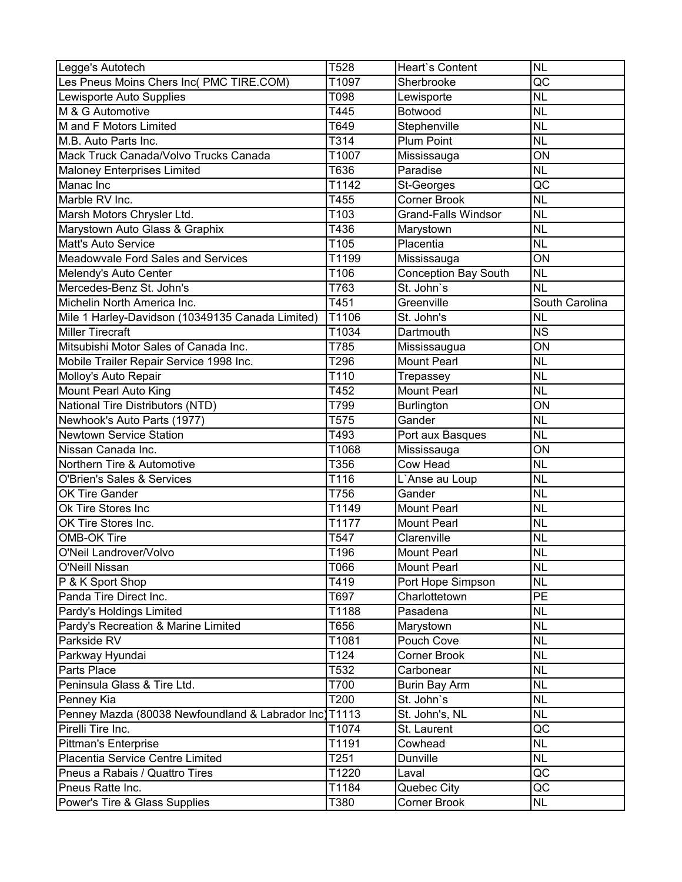| Legge's Autotech                                       | T528  | <b>Heart's Content</b>          | <b>NL</b>              |
|--------------------------------------------------------|-------|---------------------------------|------------------------|
| Les Pneus Moins Chers Inc( PMC TIRE.COM)               | T1097 | Sherbrooke                      | $\overline{\text{QC}}$ |
| Lewisporte Auto Supplies                               | T098  | Lewisporte                      | <b>NL</b>              |
| M & G Automotive                                       | T445  | Botwood                         | <b>NL</b>              |
| M and F Motors Limited                                 | T649  | Stephenville                    | <b>NL</b>              |
| M.B. Auto Parts Inc.                                   | T314  | <b>Plum Point</b>               | <b>NL</b>              |
| Mack Truck Canada/Volvo Trucks Canada                  | T1007 | Mississauga                     | ON                     |
| <b>Maloney Enterprises Limited</b>                     | T636  | Paradise                        | <b>NL</b>              |
| Manac Inc                                              | T1142 | St-Georges                      | QC                     |
| Marble RV Inc.                                         | T455  | <b>Corner Brook</b>             | <b>NL</b>              |
| Marsh Motors Chrysler Ltd.                             | T103  | <b>Grand-Falls Windsor</b>      | <b>NL</b>              |
| Marystown Auto Glass & Graphix                         | T436  | Marystown                       | <b>NL</b>              |
| Matt's Auto Service                                    | T105  | Placentia                       | <b>NL</b>              |
| <b>Meadowvale Ford Sales and Services</b>              | T1199 | Mississauga                     | ON                     |
| Melendy's Auto Center                                  | T106  | <b>Conception Bay South</b>     | <b>NL</b>              |
| Mercedes-Benz St. John's                               | T763  | St. John's                      | <b>NL</b>              |
| Michelin North America Inc.                            | T451  | Greenville                      | <b>South Carolina</b>  |
| Mile 1 Harley-Davidson (10349135 Canada Limited)       | T1106 | St. John's                      | <b>NL</b>              |
| <b>Miller Tirecraft</b>                                | T1034 | Dartmouth                       | <b>NS</b>              |
| Mitsubishi Motor Sales of Canada Inc.                  | T785  | Mississaugua                    | ON                     |
|                                                        | T296  | <b>Mount Pearl</b>              | <b>NL</b>              |
| Mobile Trailer Repair Service 1998 Inc.                | T110  |                                 | <b>NL</b>              |
| Molloy's Auto Repair                                   | T452  | Trepassey<br><b>Mount Pearl</b> | <b>NL</b>              |
| <b>Mount Pearl Auto King</b>                           |       |                                 | ON                     |
| National Tire Distributors (NTD)                       | T799  | <b>Burlington</b>               |                        |
| Newhook's Auto Parts (1977)                            | T575  | Gander                          | <b>NL</b>              |
| <b>Newtown Service Station</b>                         | T493  | Port aux Basques                | <b>NL</b>              |
| Nissan Canada Inc.                                     | T1068 | Mississauga                     | ON                     |
| Northern Tire & Automotive                             | T356  | Cow Head                        | <b>NL</b>              |
| <b>O'Brien's Sales &amp; Services</b>                  | T116  | L'Anse au Loup                  | <b>NL</b>              |
| <b>OK Tire Gander</b>                                  | T756  | Gander                          | <b>NL</b>              |
| Ok Tire Stores Inc                                     | T1149 | <b>Mount Pearl</b>              | <b>NL</b>              |
| <b>OK Tire Stores Inc.</b>                             | T1177 | <b>Mount Pearl</b>              | <b>NL</b>              |
| <b>OMB-OK Tire</b>                                     | T547  | Clarenville                     | <b>NL</b>              |
| O'Neil Landrover/Volvo                                 | T196  | <b>Mount Pearl</b>              | <b>NL</b>              |
| <b>O'Neill Nissan</b>                                  | T066  | <b>Mount Pearl</b>              | <b>NL</b>              |
| P & K Sport Shop                                       | T419  | Port Hope Simpson               | <b>NL</b>              |
| Panda Tire Direct Inc.                                 | T697  | Charlottetown                   | $\overline{PE}$        |
| Pardy's Holdings Limited                               | T1188 | Pasadena                        | <b>NL</b>              |
| Pardy's Recreation & Marine Limited                    | T656  | Marystown                       | <b>NL</b>              |
| Parkside RV                                            | T1081 | Pouch Cove                      | <b>NL</b>              |
| Parkway Hyundai                                        | T124  | <b>Corner Brook</b>             | <b>NL</b>              |
| Parts Place                                            | T532  | Carbonear                       | <b>NL</b>              |
| Peninsula Glass & Tire Ltd.                            | T700  | <b>Burin Bay Arm</b>            | <b>NL</b>              |
| Penney Kia                                             | T200  | St. John's                      | <b>NL</b>              |
| Penney Mazda (80038 Newfoundland & Labrador Inc) T1113 |       | St. John's, NL                  | <b>NL</b>              |
| Pirelli Tire Inc.                                      | T1074 | St. Laurent                     | QC                     |
| <b>Pittman's Enterprise</b>                            | T1191 | Cowhead                         | <b>NL</b>              |
| Placentia Service Centre Limited                       | T251  | Dunville                        | <b>NL</b>              |
| Pneus a Rabais / Quattro Tires                         | T1220 | Laval                           | QC                     |
| Pneus Ratte Inc.                                       | T1184 | Quebec City                     | QC                     |
| Power's Tire & Glass Supplies                          | T380  | <b>Corner Brook</b>             | <b>NL</b>              |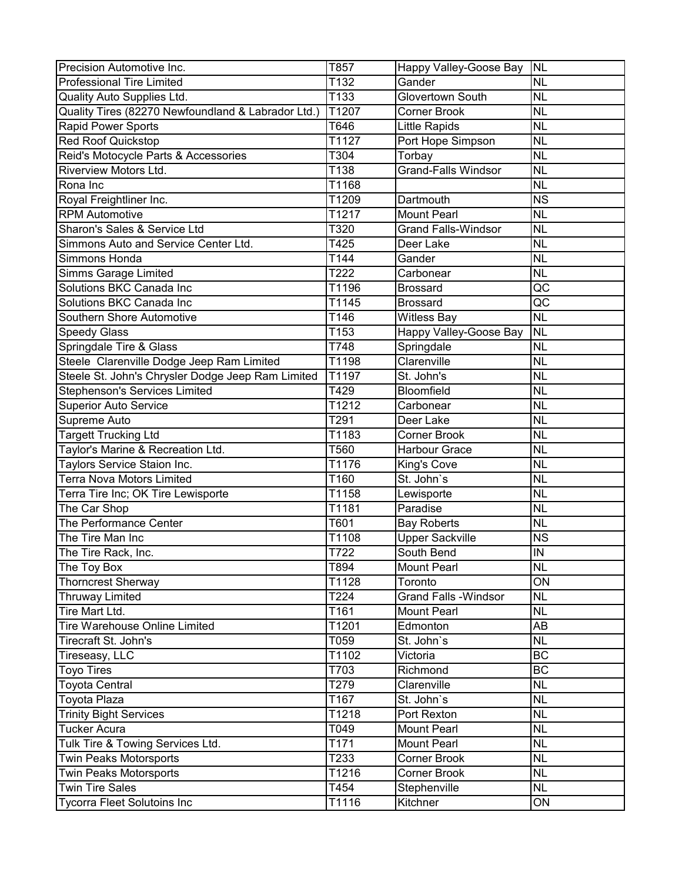| Precision Automotive Inc.                          | T857  | Happy Valley-Goose Bay         | <b>NL</b>                |
|----------------------------------------------------|-------|--------------------------------|--------------------------|
| <b>Professional Tire Limited</b>                   | T132  | Gander                         | <b>NL</b>                |
| Quality Auto Supplies Ltd.                         | T133  | <b>Glovertown South</b>        | <b>NL</b>                |
| Quality Tires (82270 Newfoundland & Labrador Ltd.) | T1207 | <b>Corner Brook</b>            | <b>NL</b>                |
| <b>Rapid Power Sports</b>                          | T646  | <b>Little Rapids</b>           | <b>NL</b>                |
| <b>Red Roof Quickstop</b>                          | T1127 | Port Hope Simpson              | <b>NL</b>                |
| Reid's Motocycle Parts & Accessories               | T304  | Torbay                         | <b>NL</b>                |
| <b>Riverview Motors Ltd.</b>                       | T138  | <b>Grand-Falls Windsor</b>     | <b>NL</b>                |
| Rona Inc                                           | T1168 |                                | <b>NL</b>                |
| Royal Freightliner Inc.                            | T1209 | Dartmouth                      | <b>NS</b>                |
| <b>RPM Automotive</b>                              | T1217 | <b>Mount Pearl</b>             | <b>NL</b>                |
| Sharon's Sales & Service Ltd                       | T320  | <b>Grand Falls-Windsor</b>     | <b>NL</b>                |
| Simmons Auto and Service Center Ltd.               | T425  | Deer Lake                      | <b>NL</b>                |
| Simmons Honda                                      | T144  | Gander                         | <b>NL</b>                |
| <b>Simms Garage Limited</b>                        | T222  | Carbonear                      | <b>NL</b>                |
| Solutions BKC Canada Inc                           | T1196 | <b>Brossard</b>                | QC                       |
| Solutions BKC Canada Inc                           | T1145 | <b>Brossard</b>                | $\overline{\mathsf{QC}}$ |
| <b>Southern Shore Automotive</b>                   | T146  | <b>Witless Bay</b>             | <b>NL</b>                |
| <b>Speedy Glass</b>                                | T153  | Happy Valley-Goose Bay         | <b>NL</b>                |
| Springdale Tire & Glass                            | T748  | Springdale                     | <b>NL</b>                |
| Steele Clarenville Dodge Jeep Ram Limited          | T1198 | Clarenville                    | <b>NL</b>                |
| Steele St. John's Chrysler Dodge Jeep Ram Limited  | T1197 | St. John's                     | <b>NL</b>                |
| <b>Stephenson's Services Limited</b>               | T429  | Bloomfield                     | <b>NL</b>                |
| <b>Superior Auto Service</b>                       | T1212 | Carbonear                      | <b>NL</b>                |
| Supreme Auto                                       | T291  | Deer Lake                      | <b>NL</b>                |
| <b>Targett Trucking Ltd</b>                        | T1183 | <b>Corner Brook</b>            | <b>NL</b>                |
| Taylor's Marine & Recreation Ltd.                  | T560  | <b>Harbour Grace</b>           | <b>NL</b>                |
| Taylors Service Staion Inc.                        | T1176 | King's Cove                    | <b>NL</b>                |
| <b>Terra Nova Motors Limited</b>                   | T160  | St. John's                     | <b>NL</b>                |
| Terra Tire Inc; OK Tire Lewisporte                 | T1158 | Lewisporte                     | <b>NL</b>                |
| The Car Shop                                       | T1181 | Paradise                       | <b>NL</b>                |
| The Performance Center                             | T601  | <b>Bay Roberts</b>             | <b>NL</b>                |
| The Tire Man Inc                                   | T1108 | <b>Upper Sackville</b>         | <b>NS</b>                |
| The Tire Rack, Inc.                                | T722  | South Bend                     | IN                       |
| The Toy Box                                        | T894  | <b>Mount Pearl</b>             | <b>NL</b>                |
| <b>Thorncrest Sherway</b>                          | T1128 | Toronto                        | $\overline{ON}$          |
|                                                    | T224  | <b>Grand Falls - Windsor</b>   | <b>NL</b>                |
| <b>Thruway Limited</b><br>Tire Mart Ltd.           |       |                                |                          |
|                                                    | T161  | <b>Mount Pearl</b><br>Edmonton | <b>NL</b>                |
| <b>Tire Warehouse Online Limited</b>               | T1201 |                                | AB                       |
| Tirecraft St. John's                               | T059  | St. John's                     | <b>NL</b>                |
| Tireseasy, LLC                                     | T1102 | Victoria                       | <b>BC</b>                |
| <b>Toyo Tires</b>                                  | T703  | Richmond                       | <b>BC</b>                |
| <b>Toyota Central</b>                              | T279  | Clarenville                    | <b>NL</b>                |
| <b>Toyota Plaza</b>                                | T167  | St. John's                     | <b>NL</b>                |
| <b>Trinity Bight Services</b>                      | T1218 | Port Rexton                    | <b>NL</b>                |
| <b>Tucker Acura</b>                                | T049  | Mount Pearl                    | <b>NL</b>                |
| Tulk Tire & Towing Services Ltd.                   | T171  | <b>Mount Pearl</b>             | <b>NL</b>                |
| <b>Twin Peaks Motorsports</b>                      | T233  | Corner Brook                   | <b>NL</b>                |
| <b>Twin Peaks Motorsports</b>                      | T1216 | <b>Corner Brook</b>            | <b>NL</b>                |
| <b>Twin Tire Sales</b>                             | T454  | Stephenville                   | <b>NL</b>                |
| <b>Tycorra Fleet Solutoins Inc</b>                 | T1116 | Kitchner                       | ON                       |